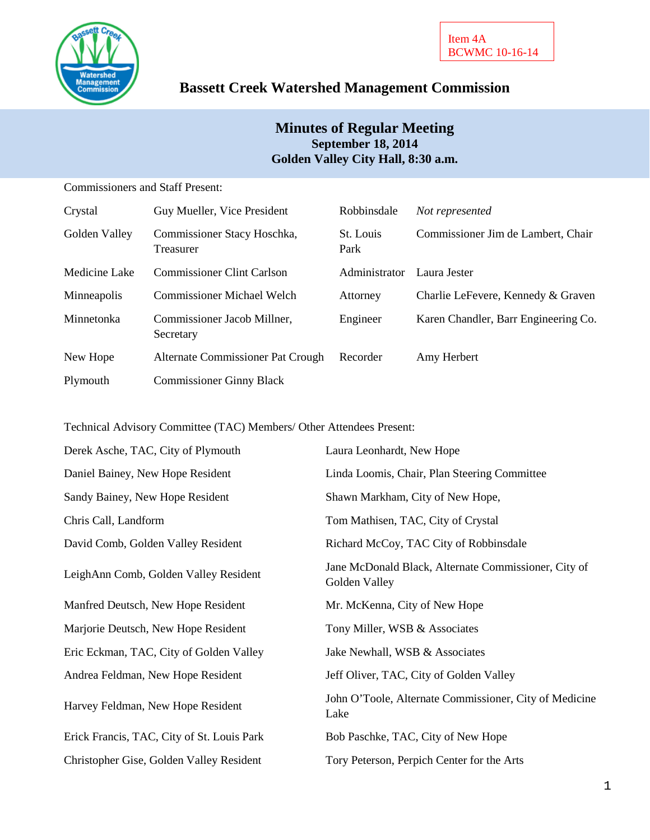

# **Bassett Creek Watershed Management Commission**

## **Minutes of Regular Meeting September 18, 2014 Golden Valley City Hall, 8:30 a.m.**

Commissioners and Staff Present:

| Crystal       | Guy Mueller, Vice President              | Robbinsdale       | Not represented                      |
|---------------|------------------------------------------|-------------------|--------------------------------------|
| Golden Valley | Commissioner Stacy Hoschka,<br>Treasurer | St. Louis<br>Park | Commissioner Jim de Lambert, Chair   |
| Medicine Lake | <b>Commissioner Clint Carlson</b>        | Administrator     | Laura Jester                         |
| Minneapolis   | <b>Commissioner Michael Welch</b>        | Attorney          | Charlie LeFevere, Kennedy & Graven   |
| Minnetonka    | Commissioner Jacob Millner,<br>Secretary | Engineer          | Karen Chandler, Barr Engineering Co. |
| New Hope      | Alternate Commissioner Pat Crough        | Recorder          | Amy Herbert                          |
| Plymouth      | <b>Commissioner Ginny Black</b>          |                   |                                      |

Technical Advisory Committee (TAC) Members/ Other Attendees Present:

| Derek Asche, TAC, City of Plymouth         | Laura Leonhardt, New Hope                                             |  |
|--------------------------------------------|-----------------------------------------------------------------------|--|
| Daniel Bainey, New Hope Resident           | Linda Loomis, Chair, Plan Steering Committee                          |  |
| Sandy Bainey, New Hope Resident            | Shawn Markham, City of New Hope,                                      |  |
| Chris Call, Landform                       | Tom Mathisen, TAC, City of Crystal                                    |  |
| David Comb, Golden Valley Resident         | Richard McCoy, TAC City of Robbinsdale                                |  |
| LeighAnn Comb, Golden Valley Resident      | Jane McDonald Black, Alternate Commissioner, City of<br>Golden Valley |  |
| Manfred Deutsch, New Hope Resident         | Mr. McKenna, City of New Hope                                         |  |
| Marjorie Deutsch, New Hope Resident        | Tony Miller, WSB & Associates                                         |  |
| Eric Eckman, TAC, City of Golden Valley    | Jake Newhall, WSB & Associates                                        |  |
| Andrea Feldman, New Hope Resident          | Jeff Oliver, TAC, City of Golden Valley                               |  |
| Harvey Feldman, New Hope Resident          | John O'Toole, Alternate Commissioner, City of Medicine<br>Lake        |  |
| Erick Francis, TAC, City of St. Louis Park | Bob Paschke, TAC, City of New Hope                                    |  |
| Christopher Gise, Golden Valley Resident   | Tory Peterson, Perpich Center for the Arts                            |  |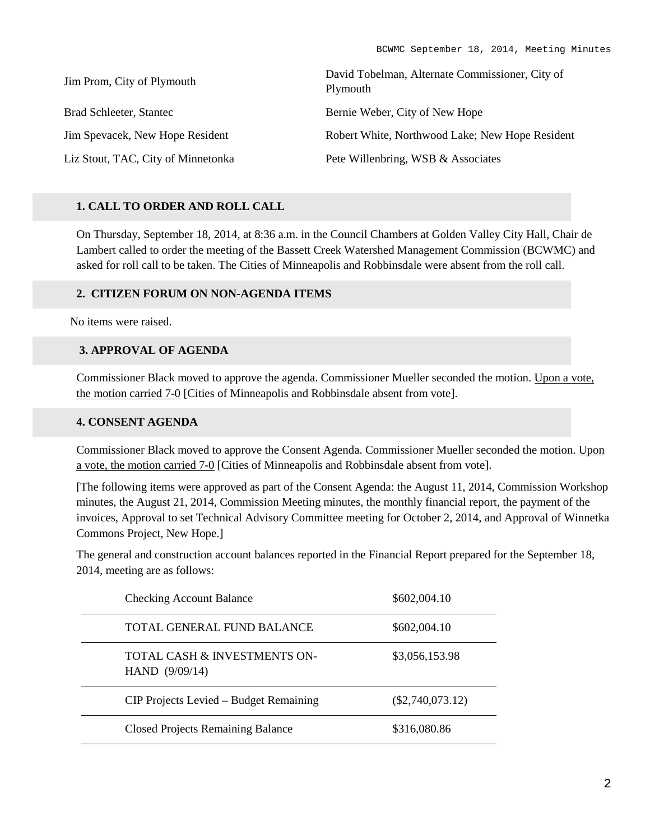| Jim Prom, City of Plymouth         | David Tobelman, Alternate Commissioner, City of<br>Plymouth |  |
|------------------------------------|-------------------------------------------------------------|--|
| Brad Schleeter, Stantec            | Bernie Weber, City of New Hope                              |  |
| Jim Spevacek, New Hope Resident    | Robert White, Northwood Lake; New Hope Resident             |  |
| Liz Stout, TAC, City of Minnetonka | Pete Willenbring, WSB & Associates                          |  |

#### **1. CALL TO ORDER AND ROLL CALL**

On Thursday, September 18, 2014, at 8:36 a.m. in the Council Chambers at Golden Valley City Hall, Chair de Lambert called to order the meeting of the Bassett Creek Watershed Management Commission (BCWMC) and asked for roll call to be taken. The Cities of Minneapolis and Robbinsdale were absent from the roll call.

#### **2. CITIZEN FORUM ON NON-AGENDA ITEMS**

No items were raised.

### **3. APPROVAL OF AGENDA**

Commissioner Black moved to approve the agenda. Commissioner Mueller seconded the motion. Upon a vote, the motion carried 7-0 [Cities of Minneapolis and Robbinsdale absent from vote].

#### **4. CONSENT AGENDA**

Commissioner Black moved to approve the Consent Agenda. Commissioner Mueller seconded the motion. Upon a vote, the motion carried 7-0 [Cities of Minneapolis and Robbinsdale absent from vote].

[The following items were approved as part of the Consent Agenda: the August 11, 2014, Commission Workshop minutes, the August 21, 2014, Commission Meeting minutes, the monthly financial report, the payment of the invoices, Approval to set Technical Advisory Committee meeting for October 2, 2014, and Approval of Winnetka Commons Project, New Hope.]

The general and construction account balances reported in the Financial Report prepared for the September 18, 2014, meeting are as follows:

| <b>Checking Account Balance</b>                  | \$602,004.10       |
|--------------------------------------------------|--------------------|
| TOTAL GENERAL FUND BALANCE                       | \$602,004.10       |
| TOTAL CASH & INVESTMENTS ON-<br>HAND $(9/09/14)$ | \$3,056,153.98     |
| CIP Projects Levied – Budget Remaining           | $(\$2,740,073.12)$ |
| <b>Closed Projects Remaining Balance</b>         | \$316,080.86       |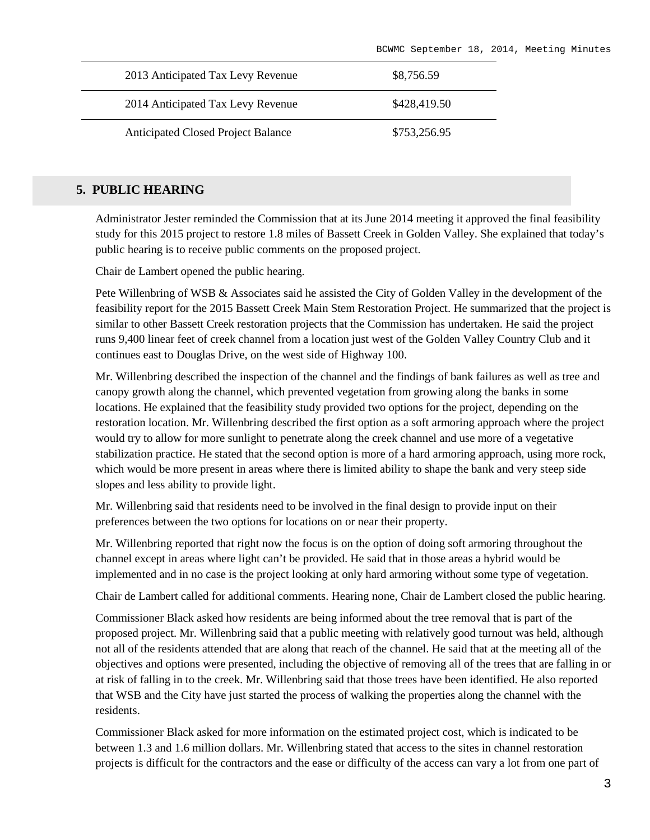| 2013 Anticipated Tax Levy Revenue         | \$8,756.59   |
|-------------------------------------------|--------------|
| 2014 Anticipated Tax Levy Revenue         | \$428,419.50 |
| <b>Anticipated Closed Project Balance</b> | \$753,256.95 |

### **5. PUBLIC HEARING**

Administrator Jester reminded the Commission that at its June 2014 meeting it approved the final feasibility study for this 2015 project to restore 1.8 miles of Bassett Creek in Golden Valley. She explained that today's public hearing is to receive public comments on the proposed project.

Chair de Lambert opened the public hearing.

Pete Willenbring of WSB & Associates said he assisted the City of Golden Valley in the development of the feasibility report for the 2015 Bassett Creek Main Stem Restoration Project. He summarized that the project is similar to other Bassett Creek restoration projects that the Commission has undertaken. He said the project runs 9,400 linear feet of creek channel from a location just west of the Golden Valley Country Club and it continues east to Douglas Drive, on the west side of Highway 100.

Mr. Willenbring described the inspection of the channel and the findings of bank failures as well as tree and canopy growth along the channel, which prevented vegetation from growing along the banks in some locations. He explained that the feasibility study provided two options for the project, depending on the restoration location. Mr. Willenbring described the first option as a soft armoring approach where the project would try to allow for more sunlight to penetrate along the creek channel and use more of a vegetative stabilization practice. He stated that the second option is more of a hard armoring approach, using more rock, which would be more present in areas where there is limited ability to shape the bank and very steep side slopes and less ability to provide light.

Mr. Willenbring said that residents need to be involved in the final design to provide input on their preferences between the two options for locations on or near their property.

Mr. Willenbring reported that right now the focus is on the option of doing soft armoring throughout the channel except in areas where light can't be provided. He said that in those areas a hybrid would be implemented and in no case is the project looking at only hard armoring without some type of vegetation.

Chair de Lambert called for additional comments. Hearing none, Chair de Lambert closed the public hearing.

Commissioner Black asked how residents are being informed about the tree removal that is part of the proposed project. Mr. Willenbring said that a public meeting with relatively good turnout was held, although not all of the residents attended that are along that reach of the channel. He said that at the meeting all of the objectives and options were presented, including the objective of removing all of the trees that are falling in or at risk of falling in to the creek. Mr. Willenbring said that those trees have been identified. He also reported that WSB and the City have just started the process of walking the properties along the channel with the residents.

Commissioner Black asked for more information on the estimated project cost, which is indicated to be between 1.3 and 1.6 million dollars. Mr. Willenbring stated that access to the sites in channel restoration projects is difficult for the contractors and the ease or difficulty of the access can vary a lot from one part of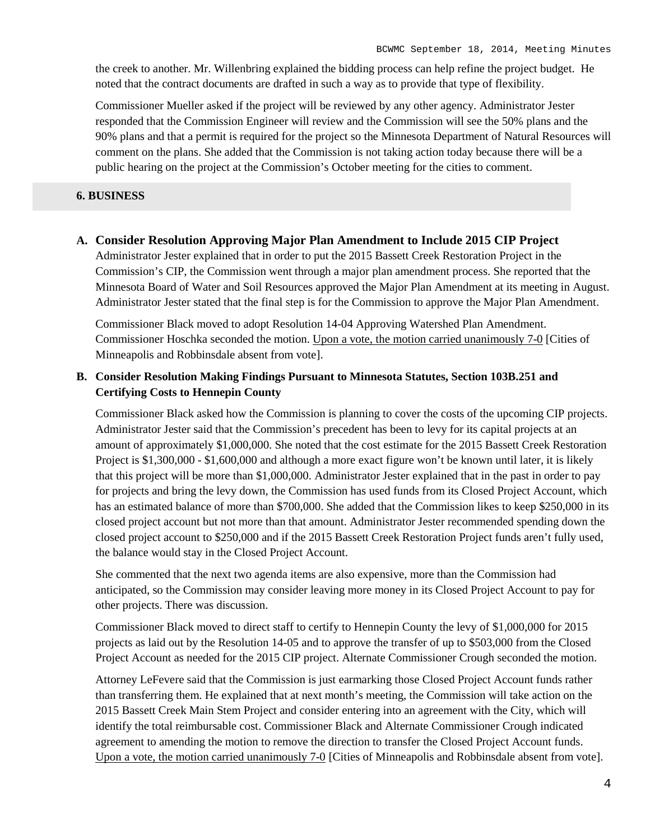the creek to another. Mr. Willenbring explained the bidding process can help refine the project budget. He noted that the contract documents are drafted in such a way as to provide that type of flexibility.

Commissioner Mueller asked if the project will be reviewed by any other agency. Administrator Jester responded that the Commission Engineer will review and the Commission will see the 50% plans and the 90% plans and that a permit is required for the project so the Minnesota Department of Natural Resources will comment on the plans. She added that the Commission is not taking action today because there will be a public hearing on the project at the Commission's October meeting for the cities to comment.

#### **6. BUSINESS**

#### **A. Consider Resolution Approving Major Plan Amendment to Include 2015 CIP Project**

Administrator Jester explained that in order to put the 2015 Bassett Creek Restoration Project in the Commission's CIP, the Commission went through a major plan amendment process. She reported that the Minnesota Board of Water and Soil Resources approved the Major Plan Amendment at its meeting in August. Administrator Jester stated that the final step is for the Commission to approve the Major Plan Amendment.

Commissioner Black moved to adopt Resolution 14-04 Approving Watershed Plan Amendment. Commissioner Hoschka seconded the motion. Upon a vote, the motion carried unanimously 7-0 [Cities of Minneapolis and Robbinsdale absent from vote].

### **B. Consider Resolution Making Findings Pursuant to Minnesota Statutes, Section 103B.251 and Certifying Costs to Hennepin County**

Commissioner Black asked how the Commission is planning to cover the costs of the upcoming CIP projects. Administrator Jester said that the Commission's precedent has been to levy for its capital projects at an amount of approximately \$1,000,000. She noted that the cost estimate for the 2015 Bassett Creek Restoration Project is \$1,300,000 - \$1,600,000 and although a more exact figure won't be known until later, it is likely that this project will be more than \$1,000,000. Administrator Jester explained that in the past in order to pay for projects and bring the levy down, the Commission has used funds from its Closed Project Account, which has an estimated balance of more than \$700,000. She added that the Commission likes to keep \$250,000 in its closed project account but not more than that amount. Administrator Jester recommended spending down the closed project account to \$250,000 and if the 2015 Bassett Creek Restoration Project funds aren't fully used, the balance would stay in the Closed Project Account.

She commented that the next two agenda items are also expensive, more than the Commission had anticipated, so the Commission may consider leaving more money in its Closed Project Account to pay for other projects. There was discussion.

Commissioner Black moved to direct staff to certify to Hennepin County the levy of \$1,000,000 for 2015 projects as laid out by the Resolution 14-05 and to approve the transfer of up to \$503,000 from the Closed Project Account as needed for the 2015 CIP project. Alternate Commissioner Crough seconded the motion.

Attorney LeFevere said that the Commission is just earmarking those Closed Project Account funds rather than transferring them. He explained that at next month's meeting, the Commission will take action on the 2015 Bassett Creek Main Stem Project and consider entering into an agreement with the City, which will identify the total reimbursable cost. Commissioner Black and Alternate Commissioner Crough indicated agreement to amending the motion to remove the direction to transfer the Closed Project Account funds. Upon a vote, the motion carried unanimously 7-0 [Cities of Minneapolis and Robbinsdale absent from vote].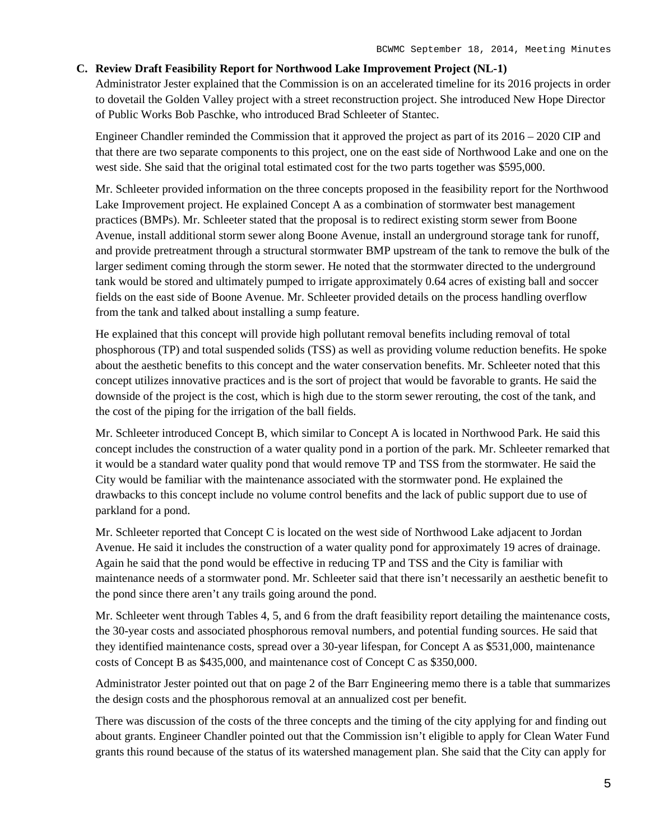#### **C. Review Draft Feasibility Report for Northwood Lake Improvement Project (NL-1)**

Administrator Jester explained that the Commission is on an accelerated timeline for its 2016 projects in order to dovetail the Golden Valley project with a street reconstruction project. She introduced New Hope Director of Public Works Bob Paschke, who introduced Brad Schleeter of Stantec.

Engineer Chandler reminded the Commission that it approved the project as part of its 2016 – 2020 CIP and that there are two separate components to this project, one on the east side of Northwood Lake and one on the west side. She said that the original total estimated cost for the two parts together was \$595,000.

Mr. Schleeter provided information on the three concepts proposed in the feasibility report for the Northwood Lake Improvement project. He explained Concept A as a combination of stormwater best management practices (BMPs). Mr. Schleeter stated that the proposal is to redirect existing storm sewer from Boone Avenue, install additional storm sewer along Boone Avenue, install an underground storage tank for runoff, and provide pretreatment through a structural stormwater BMP upstream of the tank to remove the bulk of the larger sediment coming through the storm sewer. He noted that the stormwater directed to the underground tank would be stored and ultimately pumped to irrigate approximately 0.64 acres of existing ball and soccer fields on the east side of Boone Avenue. Mr. Schleeter provided details on the process handling overflow from the tank and talked about installing a sump feature.

He explained that this concept will provide high pollutant removal benefits including removal of total phosphorous (TP) and total suspended solids (TSS) as well as providing volume reduction benefits. He spoke about the aesthetic benefits to this concept and the water conservation benefits. Mr. Schleeter noted that this concept utilizes innovative practices and is the sort of project that would be favorable to grants. He said the downside of the project is the cost, which is high due to the storm sewer rerouting, the cost of the tank, and the cost of the piping for the irrigation of the ball fields.

Mr. Schleeter introduced Concept B, which similar to Concept A is located in Northwood Park. He said this concept includes the construction of a water quality pond in a portion of the park. Mr. Schleeter remarked that it would be a standard water quality pond that would remove TP and TSS from the stormwater. He said the City would be familiar with the maintenance associated with the stormwater pond. He explained the drawbacks to this concept include no volume control benefits and the lack of public support due to use of parkland for a pond.

Mr. Schleeter reported that Concept C is located on the west side of Northwood Lake adjacent to Jordan Avenue. He said it includes the construction of a water quality pond for approximately 19 acres of drainage. Again he said that the pond would be effective in reducing TP and TSS and the City is familiar with maintenance needs of a stormwater pond. Mr. Schleeter said that there isn't necessarily an aesthetic benefit to the pond since there aren't any trails going around the pond.

Mr. Schleeter went through Tables 4, 5, and 6 from the draft feasibility report detailing the maintenance costs, the 30-year costs and associated phosphorous removal numbers, and potential funding sources. He said that they identified maintenance costs, spread over a 30-year lifespan, for Concept A as \$531,000, maintenance costs of Concept B as \$435,000, and maintenance cost of Concept C as \$350,000.

Administrator Jester pointed out that on page 2 of the Barr Engineering memo there is a table that summarizes the design costs and the phosphorous removal at an annualized cost per benefit.

There was discussion of the costs of the three concepts and the timing of the city applying for and finding out about grants. Engineer Chandler pointed out that the Commission isn't eligible to apply for Clean Water Fund grants this round because of the status of its watershed management plan. She said that the City can apply for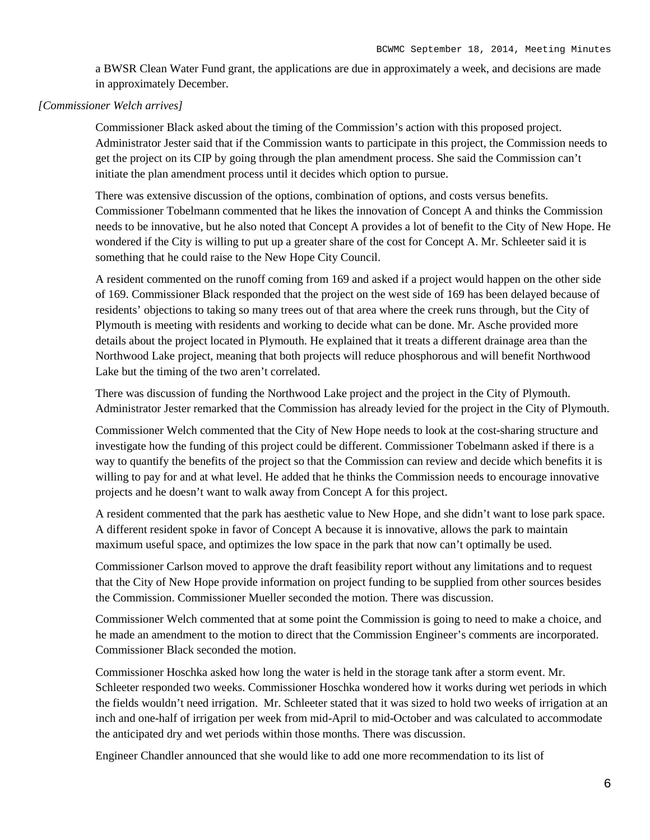a BWSR Clean Water Fund grant, the applications are due in approximately a week, and decisions are made in approximately December.

#### *[Commissioner Welch arrives]*

Commissioner Black asked about the timing of the Commission's action with this proposed project. Administrator Jester said that if the Commission wants to participate in this project, the Commission needs to get the project on its CIP by going through the plan amendment process. She said the Commission can't initiate the plan amendment process until it decides which option to pursue.

There was extensive discussion of the options, combination of options, and costs versus benefits. Commissioner Tobelmann commented that he likes the innovation of Concept A and thinks the Commission needs to be innovative, but he also noted that Concept A provides a lot of benefit to the City of New Hope. He wondered if the City is willing to put up a greater share of the cost for Concept A. Mr. Schleeter said it is something that he could raise to the New Hope City Council.

A resident commented on the runoff coming from 169 and asked if a project would happen on the other side of 169. Commissioner Black responded that the project on the west side of 169 has been delayed because of residents' objections to taking so many trees out of that area where the creek runs through, but the City of Plymouth is meeting with residents and working to decide what can be done. Mr. Asche provided more details about the project located in Plymouth. He explained that it treats a different drainage area than the Northwood Lake project, meaning that both projects will reduce phosphorous and will benefit Northwood Lake but the timing of the two aren't correlated.

There was discussion of funding the Northwood Lake project and the project in the City of Plymouth. Administrator Jester remarked that the Commission has already levied for the project in the City of Plymouth.

Commissioner Welch commented that the City of New Hope needs to look at the cost-sharing structure and investigate how the funding of this project could be different. Commissioner Tobelmann asked if there is a way to quantify the benefits of the project so that the Commission can review and decide which benefits it is willing to pay for and at what level. He added that he thinks the Commission needs to encourage innovative projects and he doesn't want to walk away from Concept A for this project.

A resident commented that the park has aesthetic value to New Hope, and she didn't want to lose park space. A different resident spoke in favor of Concept A because it is innovative, allows the park to maintain maximum useful space, and optimizes the low space in the park that now can't optimally be used.

Commissioner Carlson moved to approve the draft feasibility report without any limitations and to request that the City of New Hope provide information on project funding to be supplied from other sources besides the Commission. Commissioner Mueller seconded the motion. There was discussion.

Commissioner Welch commented that at some point the Commission is going to need to make a choice, and he made an amendment to the motion to direct that the Commission Engineer's comments are incorporated. Commissioner Black seconded the motion.

Commissioner Hoschka asked how long the water is held in the storage tank after a storm event. Mr. Schleeter responded two weeks. Commissioner Hoschka wondered how it works during wet periods in which the fields wouldn't need irrigation. Mr. Schleeter stated that it was sized to hold two weeks of irrigation at an inch and one-half of irrigation per week from mid-April to mid-October and was calculated to accommodate the anticipated dry and wet periods within those months. There was discussion.

Engineer Chandler announced that she would like to add one more recommendation to its list of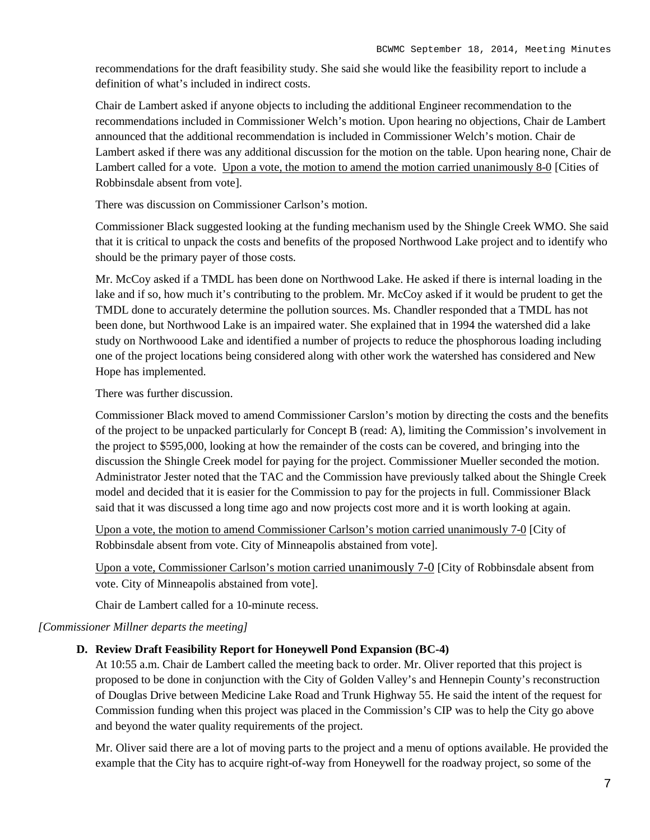recommendations for the draft feasibility study. She said she would like the feasibility report to include a definition of what's included in indirect costs.

Chair de Lambert asked if anyone objects to including the additional Engineer recommendation to the recommendations included in Commissioner Welch's motion. Upon hearing no objections, Chair de Lambert announced that the additional recommendation is included in Commissioner Welch's motion. Chair de Lambert asked if there was any additional discussion for the motion on the table. Upon hearing none, Chair de Lambert called for a vote. Upon a vote, the motion to amend the motion carried unanimously 8-0 [Cities of Robbinsdale absent from vote].

There was discussion on Commissioner Carlson's motion.

Commissioner Black suggested looking at the funding mechanism used by the Shingle Creek WMO. She said that it is critical to unpack the costs and benefits of the proposed Northwood Lake project and to identify who should be the primary payer of those costs.

Mr. McCoy asked if a TMDL has been done on Northwood Lake. He asked if there is internal loading in the lake and if so, how much it's contributing to the problem. Mr. McCoy asked if it would be prudent to get the TMDL done to accurately determine the pollution sources. Ms. Chandler responded that a TMDL has not been done, but Northwood Lake is an impaired water. She explained that in 1994 the watershed did a lake study on Northwoood Lake and identified a number of projects to reduce the phosphorous loading including one of the project locations being considered along with other work the watershed has considered and New Hope has implemented.

There was further discussion.

Commissioner Black moved to amend Commissioner Carslon's motion by directing the costs and the benefits of the project to be unpacked particularly for Concept B (read: A), limiting the Commission's involvement in the project to \$595,000, looking at how the remainder of the costs can be covered, and bringing into the discussion the Shingle Creek model for paying for the project. Commissioner Mueller seconded the motion. Administrator Jester noted that the TAC and the Commission have previously talked about the Shingle Creek model and decided that it is easier for the Commission to pay for the projects in full. Commissioner Black said that it was discussed a long time ago and now projects cost more and it is worth looking at again.

Upon a vote, the motion to amend Commissioner Carlson's motion carried unanimously 7-0 [City of Robbinsdale absent from vote. City of Minneapolis abstained from vote].

Upon a vote, Commissioner Carlson's motion carried unanimously 7-0 [City of Robbinsdale absent from vote. City of Minneapolis abstained from vote].

Chair de Lambert called for a 10-minute recess.

#### *[Commissioner Millner departs the meeting]*

#### **D. Review Draft Feasibility Report for Honeywell Pond Expansion (BC-4)**

At 10:55 a.m. Chair de Lambert called the meeting back to order. Mr. Oliver reported that this project is proposed to be done in conjunction with the City of Golden Valley's and Hennepin County's reconstruction of Douglas Drive between Medicine Lake Road and Trunk Highway 55. He said the intent of the request for Commission funding when this project was placed in the Commission's CIP was to help the City go above and beyond the water quality requirements of the project.

Mr. Oliver said there are a lot of moving parts to the project and a menu of options available. He provided the example that the City has to acquire right-of-way from Honeywell for the roadway project, so some of the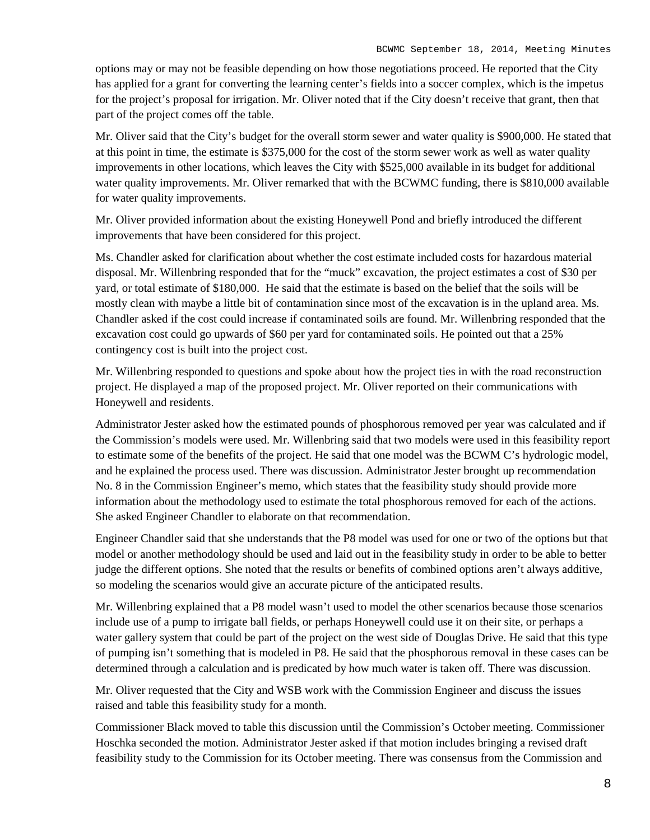options may or may not be feasible depending on how those negotiations proceed. He reported that the City has applied for a grant for converting the learning center's fields into a soccer complex, which is the impetus for the project's proposal for irrigation. Mr. Oliver noted that if the City doesn't receive that grant, then that part of the project comes off the table.

Mr. Oliver said that the City's budget for the overall storm sewer and water quality is \$900,000. He stated that at this point in time, the estimate is \$375,000 for the cost of the storm sewer work as well as water quality improvements in other locations, which leaves the City with \$525,000 available in its budget for additional water quality improvements. Mr. Oliver remarked that with the BCWMC funding, there is \$810,000 available for water quality improvements.

Mr. Oliver provided information about the existing Honeywell Pond and briefly introduced the different improvements that have been considered for this project.

Ms. Chandler asked for clarification about whether the cost estimate included costs for hazardous material disposal. Mr. Willenbring responded that for the "muck" excavation, the project estimates a cost of \$30 per yard, or total estimate of \$180,000. He said that the estimate is based on the belief that the soils will be mostly clean with maybe a little bit of contamination since most of the excavation is in the upland area. Ms. Chandler asked if the cost could increase if contaminated soils are found. Mr. Willenbring responded that the excavation cost could go upwards of \$60 per yard for contaminated soils. He pointed out that a 25% contingency cost is built into the project cost.

Mr. Willenbring responded to questions and spoke about how the project ties in with the road reconstruction project. He displayed a map of the proposed project. Mr. Oliver reported on their communications with Honeywell and residents.

Administrator Jester asked how the estimated pounds of phosphorous removed per year was calculated and if the Commission's models were used. Mr. Willenbring said that two models were used in this feasibility report to estimate some of the benefits of the project. He said that one model was the BCWM C's hydrologic model, and he explained the process used. There was discussion. Administrator Jester brought up recommendation No. 8 in the Commission Engineer's memo, which states that the feasibility study should provide more information about the methodology used to estimate the total phosphorous removed for each of the actions. She asked Engineer Chandler to elaborate on that recommendation.

Engineer Chandler said that she understands that the P8 model was used for one or two of the options but that model or another methodology should be used and laid out in the feasibility study in order to be able to better judge the different options. She noted that the results or benefits of combined options aren't always additive, so modeling the scenarios would give an accurate picture of the anticipated results.

Mr. Willenbring explained that a P8 model wasn't used to model the other scenarios because those scenarios include use of a pump to irrigate ball fields, or perhaps Honeywell could use it on their site, or perhaps a water gallery system that could be part of the project on the west side of Douglas Drive. He said that this type of pumping isn't something that is modeled in P8. He said that the phosphorous removal in these cases can be determined through a calculation and is predicated by how much water is taken off. There was discussion.

Mr. Oliver requested that the City and WSB work with the Commission Engineer and discuss the issues raised and table this feasibility study for a month.

Commissioner Black moved to table this discussion until the Commission's October meeting. Commissioner Hoschka seconded the motion. Administrator Jester asked if that motion includes bringing a revised draft feasibility study to the Commission for its October meeting. There was consensus from the Commission and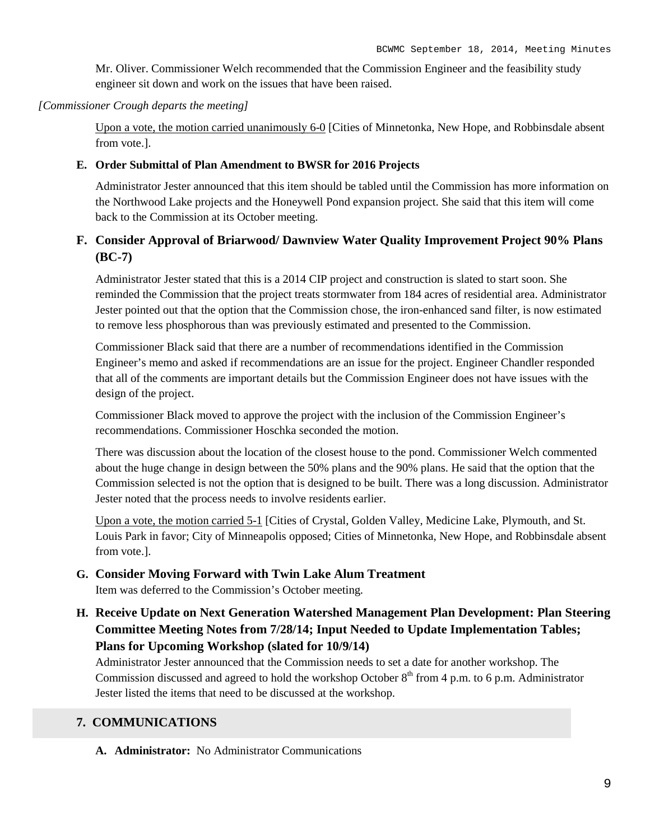Mr. Oliver. Commissioner Welch recommended that the Commission Engineer and the feasibility study engineer sit down and work on the issues that have been raised.

#### *[Commissioner Crough departs the meeting]*

Upon a vote, the motion carried unanimously 6-0 [Cities of Minnetonka, New Hope, and Robbinsdale absent from vote.].

#### **E. Order Submittal of Plan Amendment to BWSR for 2016 Projects**

Administrator Jester announced that this item should be tabled until the Commission has more information on the Northwood Lake projects and the Honeywell Pond expansion project. She said that this item will come back to the Commission at its October meeting.

## **F. Consider Approval of Briarwood/ Dawnview Water Quality Improvement Project 90% Plans (BC-7)**

Administrator Jester stated that this is a 2014 CIP project and construction is slated to start soon. She reminded the Commission that the project treats stormwater from 184 acres of residential area. Administrator Jester pointed out that the option that the Commission chose, the iron-enhanced sand filter, is now estimated to remove less phosphorous than was previously estimated and presented to the Commission.

Commissioner Black said that there are a number of recommendations identified in the Commission Engineer's memo and asked if recommendations are an issue for the project. Engineer Chandler responded that all of the comments are important details but the Commission Engineer does not have issues with the design of the project.

Commissioner Black moved to approve the project with the inclusion of the Commission Engineer's recommendations. Commissioner Hoschka seconded the motion.

There was discussion about the location of the closest house to the pond. Commissioner Welch commented about the huge change in design between the 50% plans and the 90% plans. He said that the option that the Commission selected is not the option that is designed to be built. There was a long discussion. Administrator Jester noted that the process needs to involve residents earlier.

Upon a vote, the motion carried 5-1 [Cities of Crystal, Golden Valley, Medicine Lake, Plymouth, and St. Louis Park in favor; City of Minneapolis opposed; Cities of Minnetonka, New Hope, and Robbinsdale absent from vote.].

#### **G. Consider Moving Forward with Twin Lake Alum Treatment**

Item was deferred to the Commission's October meeting.

## **H. Receive Update on Next Generation Watershed Management Plan Development: Plan Steering Committee Meeting Notes from 7/28/14; Input Needed to Update Implementation Tables; Plans for Upcoming Workshop (slated for 10/9/14)**

Administrator Jester announced that the Commission needs to set a date for another workshop. The Commission discussed and agreed to hold the workshop October  $8<sup>th</sup>$  from 4 p.m. to 6 p.m. Administrator Jester listed the items that need to be discussed at the workshop.

## **7. COMMUNICATIONS**

**A. Administrator:** No Administrator Communications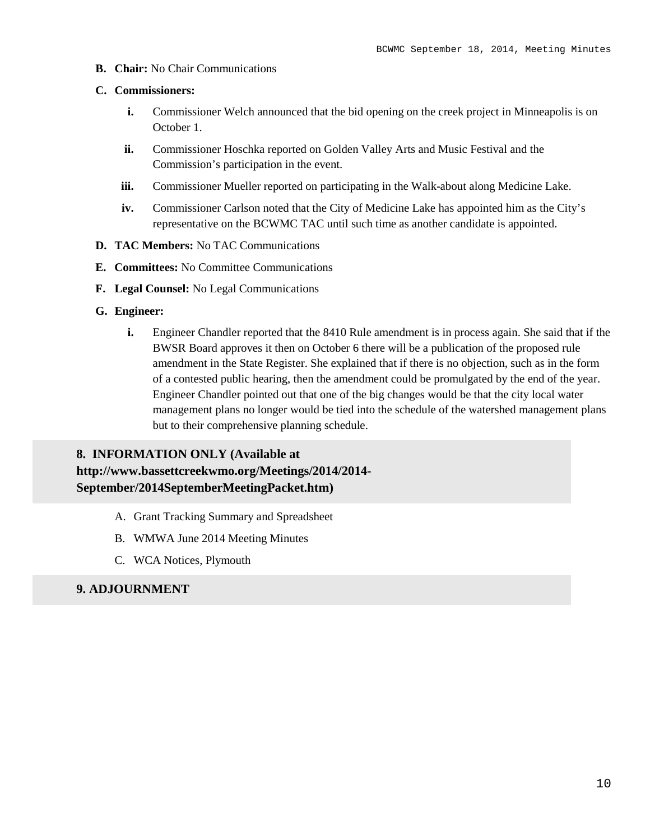**B. Chair:** No Chair Communications

#### **C. Commissioners:**

- **i.** Commissioner Welch announced that the bid opening on the creek project in Minneapolis is on October 1.
- **ii.** Commissioner Hoschka reported on Golden Valley Arts and Music Festival and the Commission's participation in the event.
- **iii.** Commissioner Mueller reported on participating in the Walk-about along Medicine Lake.
- **iv.** Commissioner Carlson noted that the City of Medicine Lake has appointed him as the City's representative on the BCWMC TAC until such time as another candidate is appointed.
- **D. TAC Members:** No TAC Communications
- **E. Committees:** No Committee Communications
- **F. Legal Counsel:** No Legal Communications
- **G. Engineer:**
	- **i.** Engineer Chandler reported that the 8410 Rule amendment is in process again. She said that if the BWSR Board approves it then on October 6 there will be a publication of the proposed rule amendment in the State Register. She explained that if there is no objection, such as in the form of a contested public hearing, then the amendment could be promulgated by the end of the year. Engineer Chandler pointed out that one of the big changes would be that the city local water management plans no longer would be tied into the schedule of the watershed management plans but to their comprehensive planning schedule.

## **8. INFORMATION ONLY (Available at**

## **http://www.bassettcreekwmo.org/Meetings/2014/2014- September/2014SeptemberMeetingPacket.htm)**

- A. Grant Tracking Summary and Spreadsheet
- B. WMWA June 2014 Meeting Minutes
- C. WCA Notices, Plymouth

## **9. ADJOURNMENT**